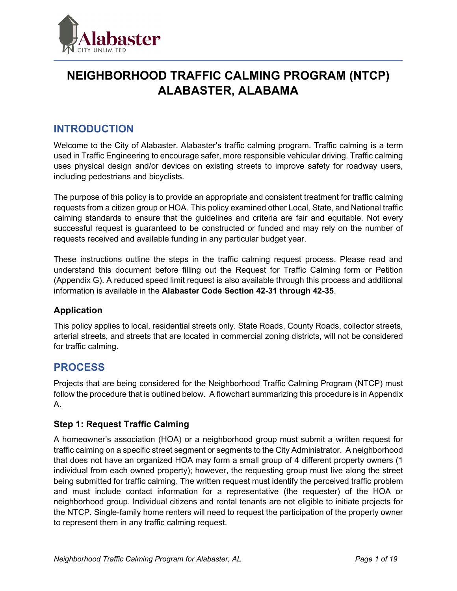

# **NEIGHBORHOOD TRAFFIC CALMING PROGRAM (NTCP) ALABASTER, ALABAMA**

### **INTRODUCTION**

Welcome to the City of Alabaster. Alabaster's traffic calming program. Traffic calming is a term used in Traffic Engineering to encourage safer, more responsible vehicular driving. Traffic calming uses physical design and/or devices on existing streets to improve safety for roadway users, including pedestrians and bicyclists.

The purpose of this policy is to provide an appropriate and consistent treatment for traffic calming requests from a citizen group or HOA. This policy examined other Local, State, and National traffic calming standards to ensure that the guidelines and criteria are fair and equitable. Not every successful request is guaranteed to be constructed or funded and may rely on the number of requests received and available funding in any particular budget year.

These instructions outline the steps in the traffic calming request process. Please read and understand this document before filling out the Request for Traffic Calming form or Petition (Appendix G). A reduced speed limit request is also available through this process and additional information is available in the **Alabaster Code Section 42-31 through 42-35**.

### **Application**

This policy applies to local, residential streets only. State Roads, County Roads, collector streets, arterial streets, and streets that are located in commercial zoning districts, will not be considered for traffic calming.

### **PROCESS**

Projects that are being considered for the Neighborhood Traffic Calming Program (NTCP) must follow the procedure that is outlined below. A flowchart summarizing this procedure is in Appendix A.

### **Step 1: Request Traffic Calming**

A homeowner's association (HOA) or a neighborhood group must submit a written request for traffic calming on a specific street segment or segments to the City Administrator. A neighborhood that does not have an organized HOA may form a small group of 4 different property owners (1 individual from each owned property); however, the requesting group must live along the street being submitted for traffic calming. The written request must identify the perceived traffic problem and must include contact information for a representative (the requester) of the HOA or neighborhood group. Individual citizens and rental tenants are not eligible to initiate projects for the NTCP. Single-family home renters will need to request the participation of the property owner to represent them in any traffic calming request.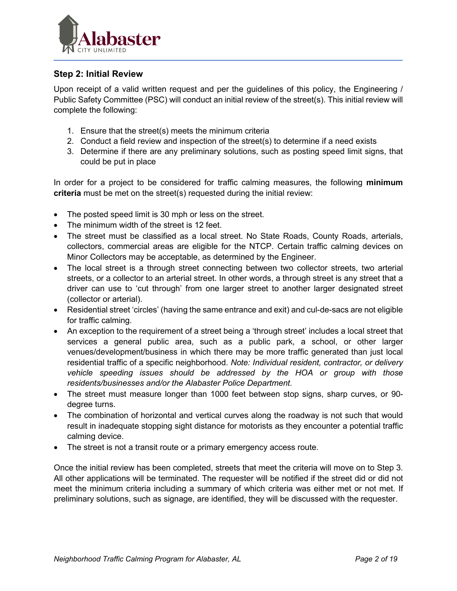

### **Step 2: Initial Review**

Upon receipt of a valid written request and per the guidelines of this policy, the Engineering / Public Safety Committee (PSC) will conduct an initial review of the street(s). This initial review will complete the following:

- 1. Ensure that the street(s) meets the minimum criteria
- 2. Conduct a field review and inspection of the street(s) to determine if a need exists
- 3. Determine if there are any preliminary solutions, such as posting speed limit signs, that could be put in place

In order for a project to be considered for traffic calming measures, the following **minimum criteria** must be met on the street(s) requested during the initial review:

- The posted speed limit is 30 mph or less on the street.
- The minimum width of the street is 12 feet.
- The street must be classified as a local street. No State Roads, County Roads, arterials, collectors, commercial areas are eligible for the NTCP. Certain traffic calming devices on Minor Collectors may be acceptable, as determined by the Engineer.
- The local street is a through street connecting between two collector streets, two arterial streets, or a collector to an arterial street. In other words, a through street is any street that a driver can use to 'cut through' from one larger street to another larger designated street (collector or arterial).
- Residential street 'circles' (having the same entrance and exit) and cul-de-sacs are not eligible for traffic calming.
- An exception to the requirement of a street being a 'through street' includes a local street that services a general public area, such as a public park, a school, or other larger venues/development/business in which there may be more traffic generated than just local residential traffic of a specific neighborhood. *Note: Individual resident, contractor, or delivery vehicle speeding issues should be addressed by the HOA or group with those residents/businesses and/or the Alabaster Police Department.*
- The street must measure longer than 1000 feet between stop signs, sharp curves, or 90 degree turns.
- The combination of horizontal and vertical curves along the roadway is not such that would result in inadequate stopping sight distance for motorists as they encounter a potential traffic calming device.
- The street is not a transit route or a primary emergency access route.

Once the initial review has been completed, streets that meet the criteria will move on to Step 3. All other applications will be terminated. The requester will be notified if the street did or did not meet the minimum criteria including a summary of which criteria was either met or not met. If preliminary solutions, such as signage, are identified, they will be discussed with the requester.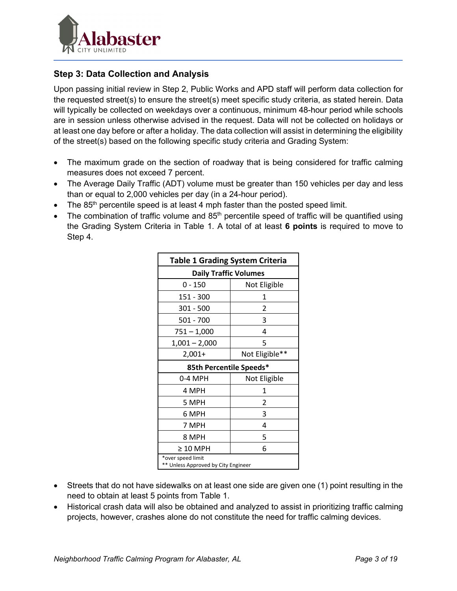

### **Step 3: Data Collection and Analysis**

Upon passing initial review in Step 2, Public Works and APD staff will perform data collection for the requested street(s) to ensure the street(s) meet specific study criteria, as stated herein. Data will typically be collected on weekdays over a continuous, minimum 48-hour period while schools are in session unless otherwise advised in the request. Data will not be collected on holidays or at least one day before or after a holiday. The data collection will assist in determining the eligibility of the street(s) based on the following specific study criteria and Grading System:

- The maximum grade on the section of roadway that is being considered for traffic calming measures does not exceed 7 percent.
- The Average Daily Traffic (ADT) volume must be greater than 150 vehicles per day and less than or equal to 2,000 vehicles per day (in a 24-hour period).
- The 85<sup>th</sup> percentile speed is at least 4 mph faster than the posted speed limit.
- The combination of traffic volume and  $85<sup>th</sup>$  percentile speed of traffic will be quantified using the Grading System Criteria in Table 1. A total of at least **6 points** is required to move to Step 4.

| <b>Table 1 Grading System Criteria</b>                   |                         |  |  |
|----------------------------------------------------------|-------------------------|--|--|
| <b>Daily Traffic Volumes</b>                             |                         |  |  |
| 0 - 150                                                  | Not Eligible            |  |  |
| 151 - 300                                                | 1                       |  |  |
| $301 - 500$                                              | 2                       |  |  |
| 501 - 700                                                | 3                       |  |  |
| $751 - 1,000$                                            | Δ                       |  |  |
| $1,001 - 2,000$                                          | 5                       |  |  |
| $2,001+$                                                 | Not Eligible**          |  |  |
|                                                          | 85th Percentile Speeds* |  |  |
| 0-4 MPH                                                  | Not Eligible            |  |  |
| 4 MPH                                                    | 1                       |  |  |
| 5 MPH                                                    | 2                       |  |  |
| 6 MPH                                                    | 3                       |  |  |
| 7 MPH                                                    | 4                       |  |  |
| 8 MPH                                                    | 5                       |  |  |
| ≥ 10 MPH                                                 | 6                       |  |  |
| *over speed limit<br>** Unless Approved by City Engineer |                         |  |  |

- Streets that do not have sidewalks on at least one side are given one (1) point resulting in the need to obtain at least 5 points from Table 1.
- Historical crash data will also be obtained and analyzed to assist in prioritizing traffic calming projects, however, crashes alone do not constitute the need for traffic calming devices.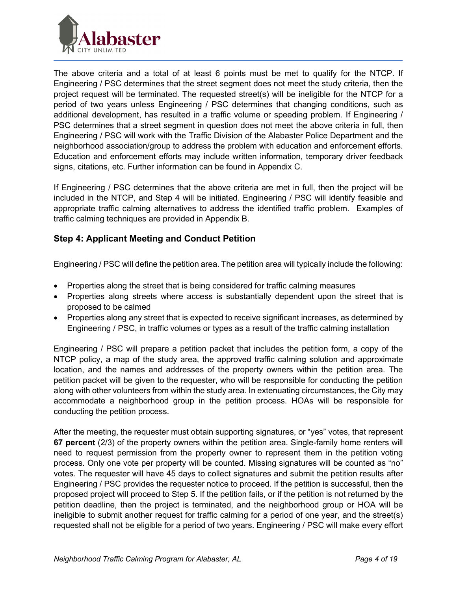

The above criteria and a total of at least 6 points must be met to qualify for the NTCP. If Engineering / PSC determines that the street segment does not meet the study criteria, then the project request will be terminated. The requested street(s) will be ineligible for the NTCP for a period of two years unless Engineering / PSC determines that changing conditions, such as additional development, has resulted in a traffic volume or speeding problem. If Engineering / PSC determines that a street segment in question does not meet the above criteria in full, then Engineering / PSC will work with the Traffic Division of the Alabaster Police Department and the neighborhood association/group to address the problem with education and enforcement efforts. Education and enforcement efforts may include written information, temporary driver feedback signs, citations, etc. Further information can be found in Appendix C.

If Engineering / PSC determines that the above criteria are met in full, then the project will be included in the NTCP, and Step 4 will be initiated. Engineering / PSC will identify feasible and appropriate traffic calming alternatives to address the identified traffic problem. Examples of traffic calming techniques are provided in Appendix B.

### **Step 4: Applicant Meeting and Conduct Petition**

Engineering / PSC will define the petition area. The petition area will typically include the following:

- Properties along the street that is being considered for traffic calming measures
- Properties along streets where access is substantially dependent upon the street that is proposed to be calmed
- Properties along any street that is expected to receive significant increases, as determined by Engineering / PSC, in traffic volumes or types as a result of the traffic calming installation

Engineering / PSC will prepare a petition packet that includes the petition form, a copy of the NTCP policy, a map of the study area, the approved traffic calming solution and approximate location, and the names and addresses of the property owners within the petition area. The petition packet will be given to the requester, who will be responsible for conducting the petition along with other volunteers from within the study area. In extenuating circumstances, the City may accommodate a neighborhood group in the petition process. HOAs will be responsible for conducting the petition process.

After the meeting, the requester must obtain supporting signatures, or "yes" votes, that represent **67 percent** (2/3) of the property owners within the petition area. Single-family home renters will need to request permission from the property owner to represent them in the petition voting process. Only one vote per property will be counted. Missing signatures will be counted as "no" votes. The requester will have 45 days to collect signatures and submit the petition results after Engineering / PSC provides the requester notice to proceed. If the petition is successful, then the proposed project will proceed to Step 5. If the petition fails, or if the petition is not returned by the petition deadline, then the project is terminated, and the neighborhood group or HOA will be ineligible to submit another request for traffic calming for a period of one year, and the street(s) requested shall not be eligible for a period of two years. Engineering / PSC will make every effort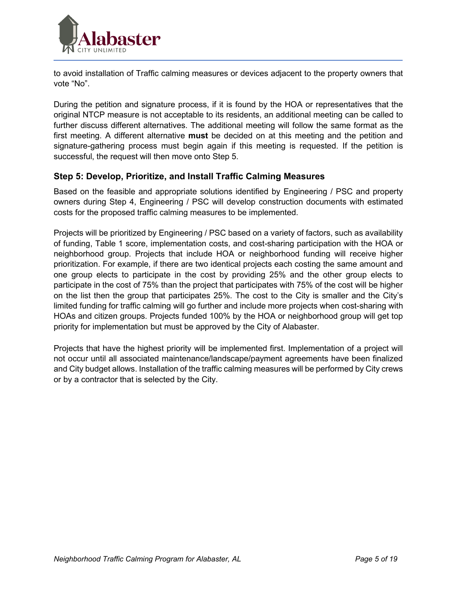

to avoid installation of Traffic calming measures or devices adjacent to the property owners that vote "No".

During the petition and signature process, if it is found by the HOA or representatives that the original NTCP measure is not acceptable to its residents, an additional meeting can be called to further discuss different alternatives. The additional meeting will follow the same format as the first meeting. A different alternative **must** be decided on at this meeting and the petition and signature-gathering process must begin again if this meeting is requested. If the petition is successful, the request will then move onto Step 5.

#### **Step 5: Develop, Prioritize, and Install Traffic Calming Measures**

Based on the feasible and appropriate solutions identified by Engineering / PSC and property owners during Step 4, Engineering / PSC will develop construction documents with estimated costs for the proposed traffic calming measures to be implemented.

Projects will be prioritized by Engineering / PSC based on a variety of factors, such as availability of funding, Table 1 score, implementation costs, and cost-sharing participation with the HOA or neighborhood group. Projects that include HOA or neighborhood funding will receive higher prioritization. For example, if there are two identical projects each costing the same amount and one group elects to participate in the cost by providing 25% and the other group elects to participate in the cost of 75% than the project that participates with 75% of the cost will be higher on the list then the group that participates 25%. The cost to the City is smaller and the City's limited funding for traffic calming will go further and include more projects when cost-sharing with HOAs and citizen groups. Projects funded 100% by the HOA or neighborhood group will get top priority for implementation but must be approved by the City of Alabaster.

Projects that have the highest priority will be implemented first. Implementation of a project will not occur until all associated maintenance/landscape/payment agreements have been finalized and City budget allows. Installation of the traffic calming measures will be performed by City crews or by a contractor that is selected by the City.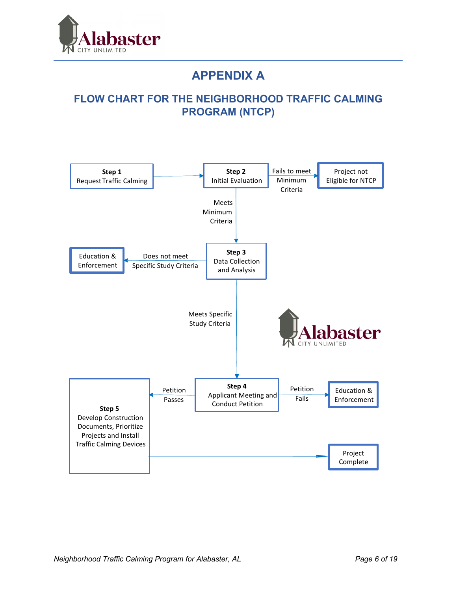

# **APPENDIX A**

## **FLOW CHART FOR THE NEIGHBORHOOD TRAFFIC CALMING PROGRAM (NTCP)**

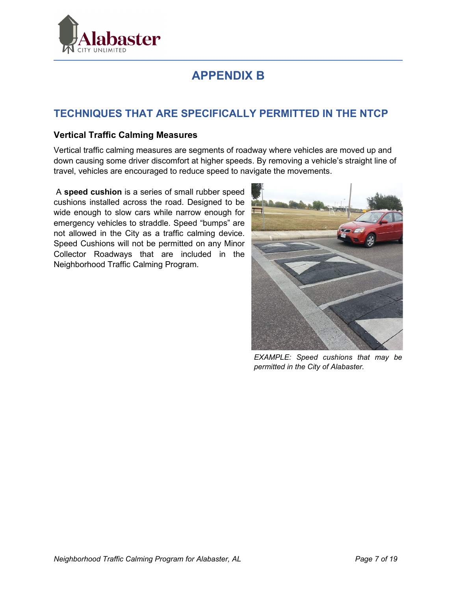

# **APPENDIX B**

## **TECHNIQUES THAT ARE SPECIFICALLY PERMITTED IN THE NTCP**

### **Vertical Traffic Calming Measures**

Vertical traffic calming measures are segments of roadway where vehicles are moved up and down causing some driver discomfort at higher speeds. By removing a vehicle's straight line of travel, vehicles are encouraged to reduce speed to navigate the movements.

A **speed cushion** is a series of small rubber speed cushions installed across the road. Designed to be wide enough to slow cars while narrow enough for emergency vehicles to straddle. Speed "bumps" are not allowed in the City as a traffic calming device. Speed Cushions will not be permitted on any Minor Collector Roadways that are included in the Neighborhood Traffic Calming Program.



*EXAMPLE: Speed cushions that may be permitted in the City of Alabaster.*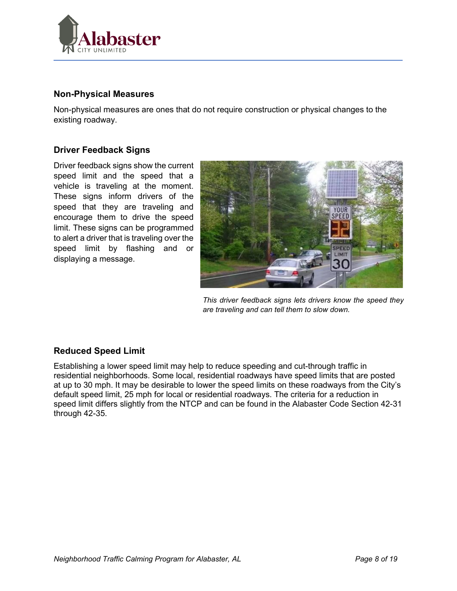

#### **Non-Physical Measures**

Non-physical measures are ones that do not require construction or physical changes to the existing roadway.

### **Driver Feedback Signs**

Driver feedback signs show the current speed limit and the speed that a vehicle is traveling at the moment. These signs inform drivers of the speed that they are traveling and encourage them to drive the speed limit. These signs can be programmed to alert a driver that is traveling over the speed limit by flashing and or displaying a message.



*This driver feedback signs lets drivers know the speed they are traveling and can tell them to slow down.*

### **Reduced Speed Limit**

Establishing a lower speed limit may help to reduce speeding and cut-through traffic in residential neighborhoods. Some local, residential roadways have speed limits that are posted at up to 30 mph. It may be desirable to lower the speed limits on these roadways from the City's default speed limit, 25 mph for local or residential roadways. The criteria for a reduction in speed limit differs slightly from the NTCP and can be found in the Alabaster Code Section 42-31 through 42-35.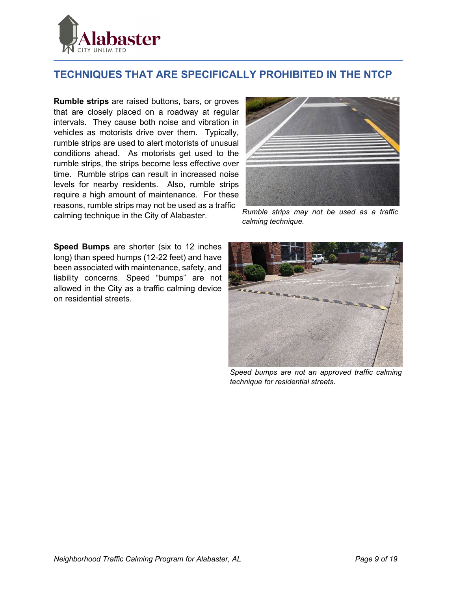

### **TECHNIQUES THAT ARE SPECIFICALLY PROHIBITED IN THE NTCP**

**Rumble strips** are raised buttons, bars, or groves that are closely placed on a roadway at regular intervals. They cause both noise and vibration in vehicles as motorists drive over them. Typically, rumble strips are used to alert motorists of unusual conditions ahead. As motorists get used to the rumble strips, the strips become less effective over time. Rumble strips can result in increased noise levels for nearby residents. Also, rumble strips require a high amount of maintenance. For these reasons, rumble strips may not be used as a traffic calming technique in the City of Alabaster.

**Speed Bumps** are shorter (six to 12 inches long) than speed humps (12-22 feet) and have been associated with maintenance, safety, and liability concerns. Speed "bumps" are not allowed in the City as a traffic calming device on residential streets.



*Rumble strips may not be used as a traffic calming technique.*



*Speed bumps are not an approved traffic calming technique for residential streets.*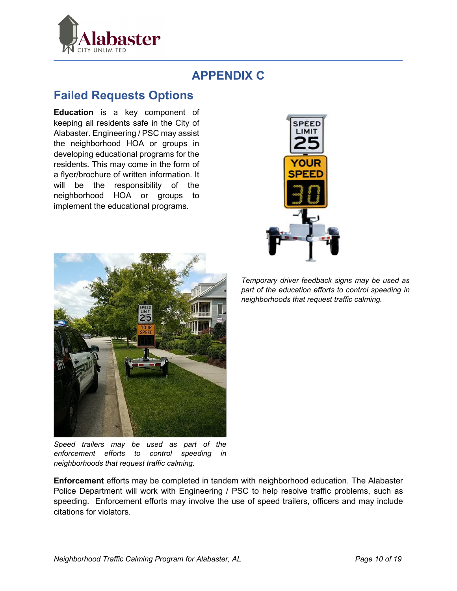

# **APPENDIX C**

## **Failed Requests Options**

**Education** is a key component of keeping all residents safe in the City of Alabaster. Engineering / PSC may assist the neighborhood HOA or groups in developing educational programs for the residents. This may come in the form of a flyer/brochure of written information. It will be the responsibility of the neighborhood HOA or groups to implement the educational programs.





*Temporary driver feedback signs may be used as part of the education efforts to control speeding in neighborhoods that request traffic calming.*

*Speed trailers may be used as part of the enforcement efforts to control speeding in neighborhoods that request traffic calming.*

**Enforcement** efforts may be completed in tandem with neighborhood education. The Alabaster Police Department will work with Engineering / PSC to help resolve traffic problems, such as speeding. Enforcement efforts may involve the use of speed trailers, officers and may include citations for violators.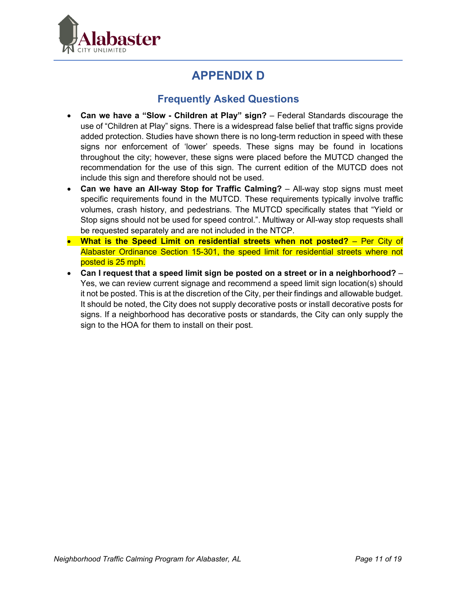

# **APPENDIX D**

## **Frequently Asked Questions**

- **Can we have a "Slow - Children at Play" sign?** Federal Standards discourage the use of "Children at Play" signs. There is a widespread false belief that traffic signs provide added protection. Studies have shown there is no long-term reduction in speed with these signs nor enforcement of 'lower' speeds. These signs may be found in locations throughout the city; however, these signs were placed before the MUTCD changed the recommendation for the use of this sign. The current edition of the MUTCD does not include this sign and therefore should not be used.
- **Can we have an All-way Stop for Traffic Calming?** All-way stop signs must meet specific requirements found in the MUTCD. These requirements typically involve traffic volumes, crash history, and pedestrians. The MUTCD specifically states that "Yield or Stop signs should not be used for speed control.". Multiway or All-way stop requests shall be requested separately and are not included in the NTCP.
- **What is the Speed Limit on residential streets when not posted?** Per City of Alabaster Ordinance Section 15-301, the speed limit for residential streets where not posted is 25 mph.
- **Can I request that a speed limit sign be posted on a street or in a neighborhood?** Yes, we can review current signage and recommend a speed limit sign location(s) should it not be posted. This is at the discretion of the City, per their findings and allowable budget. It should be noted, the City does not supply decorative posts or install decorative posts for signs. If a neighborhood has decorative posts or standards, the City can only supply the sign to the HOA for them to install on their post.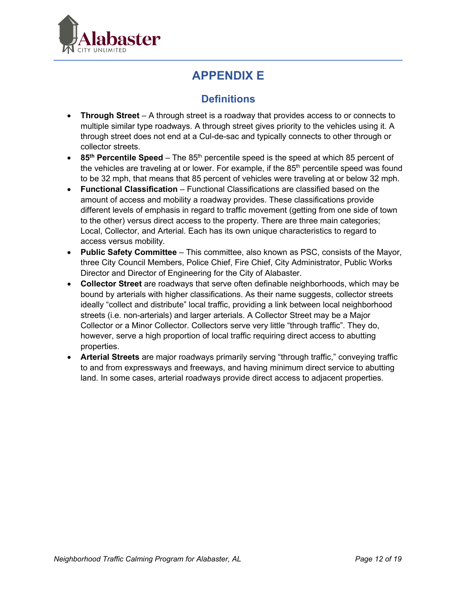

# **APPENDIX E**

## **Definitions**

- **Through Street** A through street is a roadway that provides access to or connects to multiple similar type roadways. A through street gives priority to the vehicles using it. A through street does not end at a Cul-de-sac and typically connects to other through or collector streets.
- **85th Percentile Speed** The 85th percentile speed is the speed at which 85 percent of the vehicles are traveling at or lower. For example, if the 85<sup>th</sup> percentile speed was found to be 32 mph, that means that 85 percent of vehicles were traveling at or below 32 mph.
- **Functional Classification** Functional Classifications are classified based on the amount of access and mobility a roadway provides. These classifications provide different levels of emphasis in regard to traffic movement (getting from one side of town to the other) versus direct access to the property. There are three main categories; Local, Collector, and Arterial. Each has its own unique characteristics to regard to access versus mobility.
- **Public Safety Committee**  This committee, also known as PSC, consists of the Mayor, three City Council Members, Police Chief, Fire Chief, City Administrator, Public Works Director and Director of Engineering for the City of Alabaster.
- **Collector Street** are roadways that serve often definable neighborhoods, which may be bound by arterials with higher classifications. As their name suggests, collector streets ideally "collect and distribute" local traffic, providing a link between local neighborhood streets (i.e. non-arterials) and larger arterials. A Collector Street may be a Major Collector or a Minor Collector. Collectors serve very little "through traffic". They do, however, serve a high proportion of local traffic requiring direct access to abutting properties.
- **Arterial Streets** are major roadways primarily serving "through traffic," conveying traffic to and from expressways and freeways, and having minimum direct service to abutting land. In some cases, arterial roadways provide direct access to adjacent properties.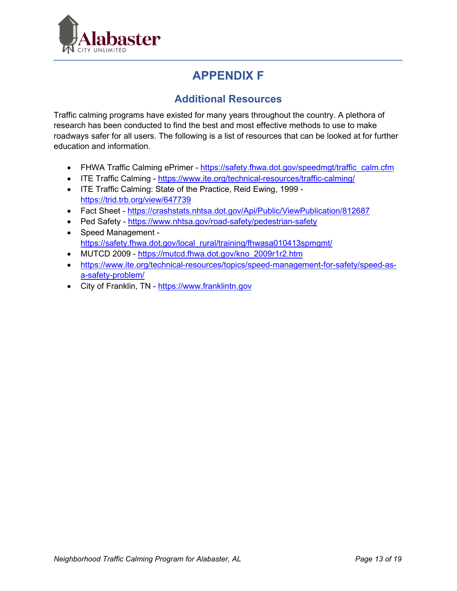

# **APPENDIX F**

## **Additional Resources**

Traffic calming programs have existed for many years throughout the country. A plethora of research has been conducted to find the best and most effective methods to use to make roadways safer for all users. The following is a list of resources that can be looked at for further education and information.

- FHWA Traffic Calming ePrimer [https://safety.fhwa.dot.gov/speedmgt/traffic\\_calm.cfm](https://safety.fhwa.dot.gov/speedmgt/traffic_calm.cfm)
- ITE Traffic Calming <https://www.ite.org/technical-resources/traffic-calming/>
- ITE Traffic Calming: State of the Practice, Reid Ewing, 1999 <https://trid.trb.org/view/647739>
- Fact Sheet <https://crashstats.nhtsa.dot.gov/Api/Public/ViewPublication/812687>
- Ped Safety <https://www.nhtsa.gov/road-safety/pedestrian-safety>
- Speed Management [https://safety.fhwa.dot.gov/local\\_rural/training/fhwasa010413spmgmt/](https://safety.fhwa.dot.gov/local_rural/training/fhwasa010413spmgmt/)
- MUTCD 2009 [https://mutcd.fhwa.dot.gov/kno\\_2009r1r2.htm](https://mutcd.fhwa.dot.gov/kno_2009r1r2.htm)
- [https://www.ite.org/technical-resources/topics/speed-management-for-safety/speed-as](https://www.ite.org/technical-resources/topics/speed-management-for-safety/speed-as-a-safety-problem/)[a-safety-problem/](https://www.ite.org/technical-resources/topics/speed-management-for-safety/speed-as-a-safety-problem/)
- City of Franklin, TN [https://www.franklintn.gov](https://www.franklintn.gov/)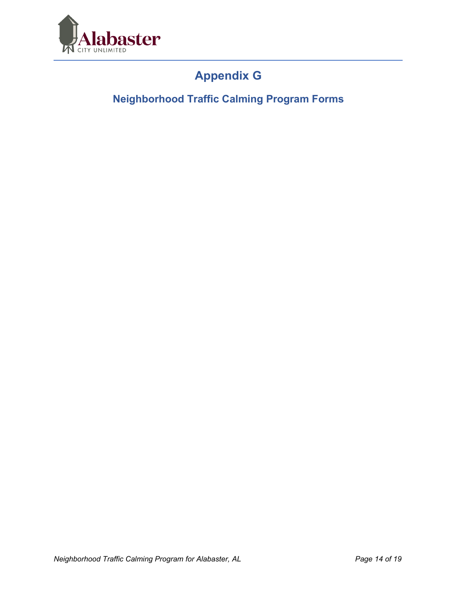

# **Appendix G**

## **Neighborhood Traffic Calming Program Forms**

*Neighborhood Traffic Calming Program for Alabaster, AL* Page 14 of 19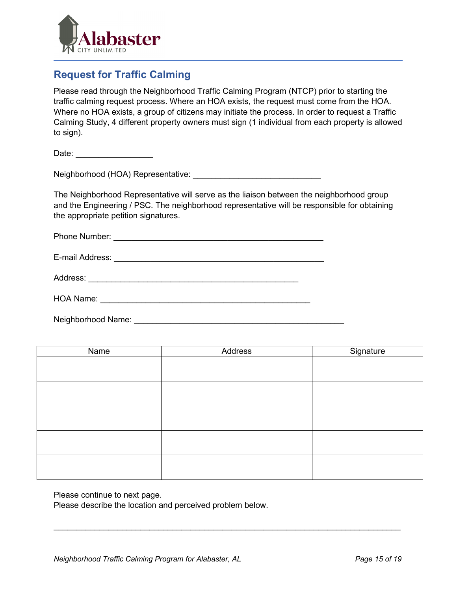

## **Request for Traffic Calming**

Please read through the Neighborhood Traffic Calming Program (NTCP) prior to starting the traffic calming request process. Where an HOA exists, the request must come from the HOA. Where no HOA exists, a group of citizens may initiate the process. In order to request a Traffic Calming Study, 4 different property owners must sign (1 individual from each property is allowed to sign).

Date:  $\Box$ 

Neighborhood (HOA) Representative:

The Neighborhood Representative will serve as the liaison between the neighborhood group and the Engineering / PSC. The neighborhood representative will be responsible for obtaining the appropriate petition signatures.

| HOA Name: <u>__________________________________</u> |  |
|-----------------------------------------------------|--|
| Neighborhood Name:                                  |  |

| Name | Address | Signature |
|------|---------|-----------|
|      |         |           |
|      |         |           |
|      |         |           |
|      |         |           |
|      |         |           |
|      |         |           |
|      |         |           |
|      |         |           |
|      |         |           |
|      |         |           |

 $\mathcal{L}_\text{max}$  , and the contribution of the contribution of the contribution of the contribution of the contribution of the contribution of the contribution of the contribution of the contribution of the contribution of t

Please continue to next page.

Please describe the location and perceived problem below.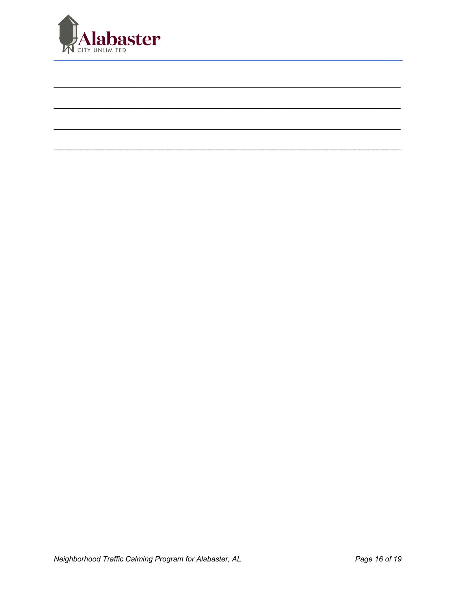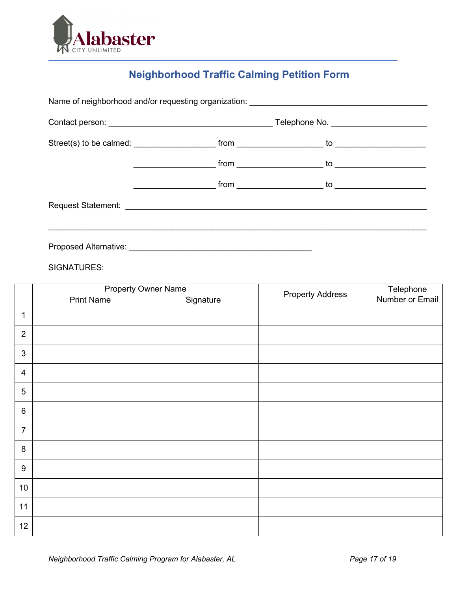

# **Neighborhood Traffic Calming Petition Form**

| Name of neighborhood and/or requesting organization: ____________________________ |  |                                                                                          |  |
|-----------------------------------------------------------------------------------|--|------------------------------------------------------------------------------------------|--|
|                                                                                   |  |                                                                                          |  |
|                                                                                   |  |                                                                                          |  |
|                                                                                   |  |                                                                                          |  |
|                                                                                   |  | $\begin{array}{c} \hbox{from} \begin{array}{c} \begin{array}{c} \end{array} \end{array}$ |  |
|                                                                                   |  |                                                                                          |  |
|                                                                                   |  |                                                                                          |  |
|                                                                                   |  |                                                                                          |  |

SIGNATURES:

|                | <b>Property Owner Name</b> |           | <b>Property Address</b> | Telephone       |
|----------------|----------------------------|-----------|-------------------------|-----------------|
|                | <b>Print Name</b>          | Signature |                         | Number or Email |
| $\mathbf 1$    |                            |           |                         |                 |
| $\overline{2}$ |                            |           |                         |                 |
| $\mathfrak{S}$ |                            |           |                         |                 |
| $\overline{4}$ |                            |           |                         |                 |
| $\overline{5}$ |                            |           |                         |                 |
| $\,6$          |                            |           |                         |                 |
| $\overline{7}$ |                            |           |                         |                 |
| $\bf 8$        |                            |           |                         |                 |
| $9\,$          |                            |           |                         |                 |
| 10             |                            |           |                         |                 |
| 11             |                            |           |                         |                 |
| 12             |                            |           |                         |                 |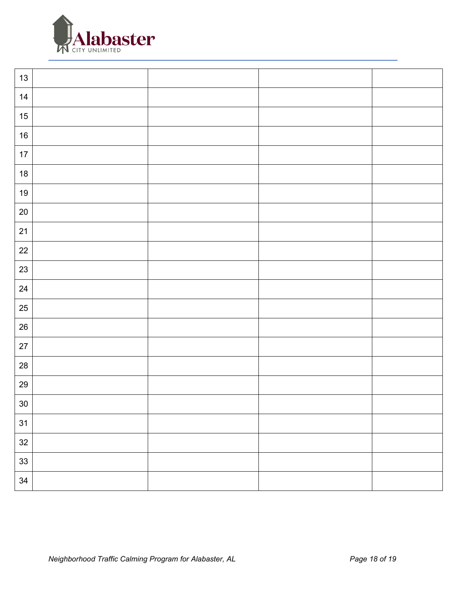

| $13$            |  |  |
|-----------------|--|--|
| 14              |  |  |
| 15              |  |  |
| $16\,$          |  |  |
| 17              |  |  |
| 18              |  |  |
| $19$            |  |  |
| $20\,$          |  |  |
| 21              |  |  |
| 22              |  |  |
| 23              |  |  |
| 24              |  |  |
| 25              |  |  |
| $26\,$          |  |  |
| $27$            |  |  |
| 28              |  |  |
| 29              |  |  |
| 30 <sup>°</sup> |  |  |
| 31              |  |  |
| $32\,$          |  |  |
| $33\,$          |  |  |
| 34              |  |  |